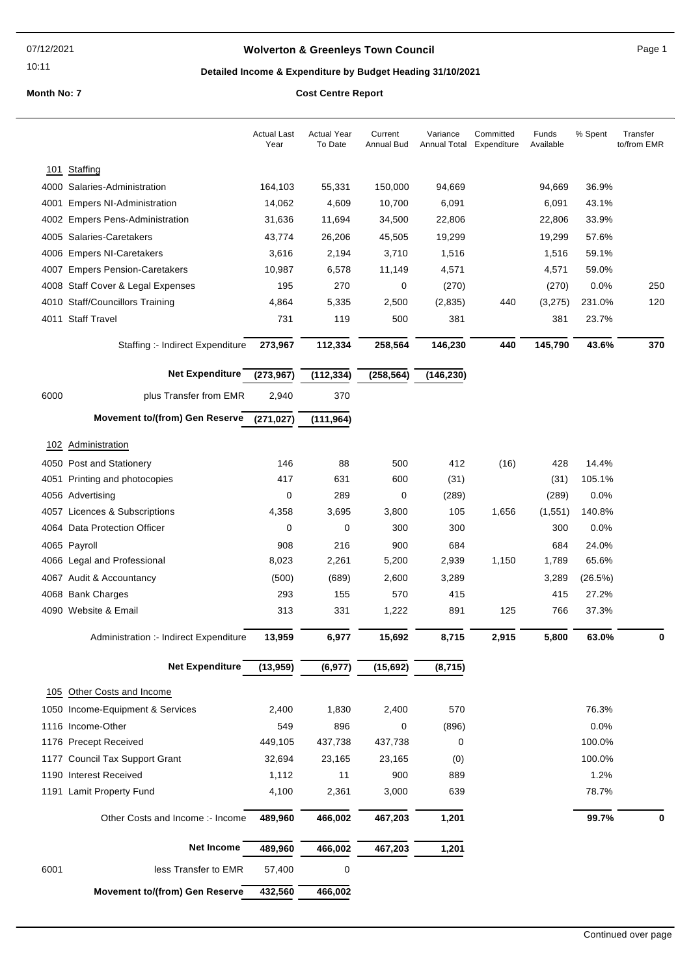10:11

## **Wolverton & Greenleys Town Council** Magnetic Page 1

## **Detailed Income & Expenditure by Budget Heading 31/10/2021**

|      |                                        | <b>Actual Last</b><br>Year | <b>Actual Year</b><br>To Date | Current<br>Annual Bud | Variance<br>Annual Total | Committed<br>Expenditure | Funds<br>Available | % Spent | Transfer<br>to/from EMR |
|------|----------------------------------------|----------------------------|-------------------------------|-----------------------|--------------------------|--------------------------|--------------------|---------|-------------------------|
|      | 101 Staffing                           |                            |                               |                       |                          |                          |                    |         |                         |
|      | 4000 Salaries-Administration           | 164,103                    | 55,331                        | 150,000               | 94,669                   |                          | 94,669             | 36.9%   |                         |
|      | 4001 Empers NI-Administration          | 14,062                     | 4,609                         | 10,700                | 6,091                    |                          | 6,091              | 43.1%   |                         |
|      | 4002 Empers Pens-Administration        | 31,636                     | 11,694                        | 34,500                | 22,806                   |                          | 22,806             | 33.9%   |                         |
|      | 4005 Salaries-Caretakers               | 43,774                     | 26,206                        | 45,505                | 19,299                   |                          | 19,299             | 57.6%   |                         |
|      | 4006 Empers NI-Caretakers              | 3,616                      | 2,194                         | 3,710                 | 1,516                    |                          | 1,516              | 59.1%   |                         |
|      | 4007 Empers Pension-Caretakers         | 10,987                     | 6,578                         | 11,149                | 4,571                    |                          | 4,571              | 59.0%   |                         |
|      | 4008 Staff Cover & Legal Expenses      | 195                        | 270                           | 0                     | (270)                    |                          | (270)              | 0.0%    | 250                     |
|      | 4010 Staff/Councillors Training        | 4,864                      | 5,335                         | 2,500                 | (2, 835)                 | 440                      | (3,275)            | 231.0%  | 120                     |
|      | 4011 Staff Travel                      | 731                        | 119                           | 500                   | 381                      |                          | 381                | 23.7%   |                         |
|      | Staffing :- Indirect Expenditure       | 273,967                    | 112,334                       | 258,564               | 146,230                  | 440                      | 145,790            | 43.6%   | 370                     |
|      | <b>Net Expenditure</b>                 | (273, 967)                 | (112, 334)                    | (258, 564)            | (146, 230)               |                          |                    |         |                         |
| 6000 | plus Transfer from EMR                 | 2,940                      | 370                           |                       |                          |                          |                    |         |                         |
|      | <b>Movement to/(from) Gen Reserve</b>  | (271, 027)                 | (111, 964)                    |                       |                          |                          |                    |         |                         |
|      | 102 Administration                     |                            |                               |                       |                          |                          |                    |         |                         |
|      | 4050 Post and Stationery               | 146                        | 88                            | 500                   | 412                      | (16)                     | 428                | 14.4%   |                         |
|      | 4051 Printing and photocopies          | 417                        | 631                           | 600                   | (31)                     |                          | (31)               | 105.1%  |                         |
|      | 4056 Advertising                       | 0                          | 289                           | 0                     | (289)                    |                          | (289)              | 0.0%    |                         |
|      | 4057 Licences & Subscriptions          | 4,358                      | 3,695                         | 3,800                 | 105                      | 1,656                    | (1,551)            | 140.8%  |                         |
|      | 4064 Data Protection Officer           | 0                          | 0                             | 300                   | 300                      |                          | 300                | 0.0%    |                         |
|      | 4065 Payroll                           | 908                        | 216                           | 900                   | 684                      |                          | 684                | 24.0%   |                         |
|      | 4066 Legal and Professional            | 8,023                      | 2,261                         | 5,200                 | 2,939                    | 1,150                    | 1,789              | 65.6%   |                         |
|      | 4067 Audit & Accountancy               | (500)                      | (689)                         | 2,600                 | 3,289                    |                          | 3,289              | (26.5%) |                         |
|      | 4068 Bank Charges                      | 293                        | 155                           | 570                   | 415                      |                          | 415                | 27.2%   |                         |
|      | 4090 Website & Email                   | 313                        | 331                           | 1,222                 | 891                      | 125                      | 766                | 37.3%   |                         |
|      | Administration :- Indirect Expenditure | 13,959                     | 6,977                         | 15,692                | 8,715                    | 2,915                    | 5,800              | 63.0%   | 0                       |
|      |                                        |                            |                               |                       |                          |                          |                    |         |                         |
|      | <b>Net Expenditure</b>                 | (13, 959)                  | (6, 977)                      | (15, 692)             | (8, 715)                 |                          |                    |         |                         |
|      | 105 Other Costs and Income             |                            |                               |                       |                          |                          |                    |         |                         |
|      | 1050 Income-Equipment & Services       | 2,400                      | 1,830                         | 2,400                 | 570                      |                          |                    | 76.3%   |                         |
|      | 1116 Income-Other                      | 549                        | 896                           | 0                     | (896)                    |                          |                    | 0.0%    |                         |
|      | 1176 Precept Received                  | 449,105                    | 437,738                       | 437,738               | 0                        |                          |                    | 100.0%  |                         |
|      | 1177 Council Tax Support Grant         | 32,694                     | 23,165                        | 23,165                | (0)                      |                          |                    | 100.0%  |                         |
|      | 1190 Interest Received                 | 1,112                      | 11                            | 900                   | 889                      |                          |                    | 1.2%    |                         |
|      | 1191 Lamit Property Fund               | 4,100                      | 2,361                         | 3,000                 | 639                      |                          |                    | 78.7%   |                         |
|      | Other Costs and Income :- Income       | 489,960                    | 466,002                       | 467,203               | 1,201                    |                          |                    | 99.7%   | 0                       |
|      | Net Income                             | 489,960                    | 466,002                       | 467,203               | 1,201                    |                          |                    |         |                         |
| 6001 | less Transfer to EMR                   | 57,400                     | $\mathbf 0$                   |                       |                          |                          |                    |         |                         |
|      | <b>Movement to/(from) Gen Reserve</b>  | 432,560                    | 466,002                       |                       |                          |                          |                    |         |                         |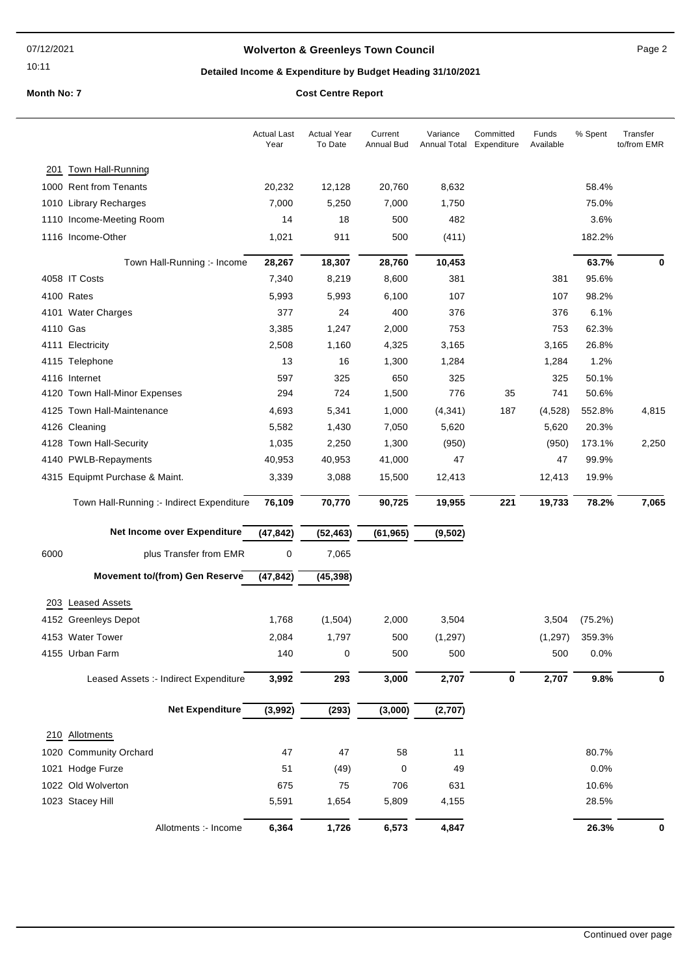10:11

## **Wolverton & Greenleys Town Council** Manual Page 2

## **Detailed Income & Expenditure by Budget Heading 31/10/2021**

|          |                                           | <b>Actual Last</b><br>Year | <b>Actual Year</b><br>To Date | Current<br>Annual Bud | Variance<br>Annual Total Expenditure | Committed | Funds<br>Available | % Spent | Transfer<br>to/from EMR |
|----------|-------------------------------------------|----------------------------|-------------------------------|-----------------------|--------------------------------------|-----------|--------------------|---------|-------------------------|
|          | 201 Town Hall-Running                     |                            |                               |                       |                                      |           |                    |         |                         |
|          | 1000 Rent from Tenants                    | 20,232                     | 12,128                        | 20,760                | 8,632                                |           |                    | 58.4%   |                         |
|          | 1010 Library Recharges                    | 7,000                      | 5,250                         | 7,000                 | 1,750                                |           |                    | 75.0%   |                         |
|          | 1110 Income-Meeting Room                  | 14                         | 18                            | 500                   | 482                                  |           |                    | 3.6%    |                         |
|          | 1116 Income-Other                         | 1,021                      | 911                           | 500                   | (411)                                |           |                    | 182.2%  |                         |
|          | Town Hall-Running :- Income               | 28,267                     | 18,307                        | 28,760                | 10,453                               |           |                    | 63.7%   | 0                       |
|          | 4058 IT Costs                             | 7,340                      | 8,219                         | 8,600                 | 381                                  |           | 381                | 95.6%   |                         |
|          | 4100 Rates                                | 5,993                      | 5,993                         | 6,100                 | 107                                  |           | 107                | 98.2%   |                         |
|          | 4101 Water Charges                        | 377                        | 24                            | 400                   | 376                                  |           | 376                | 6.1%    |                         |
| 4110 Gas |                                           | 3,385                      | 1,247                         | 2,000                 | 753                                  |           | 753                | 62.3%   |                         |
|          | 4111 Electricity                          | 2,508                      | 1,160                         | 4,325                 | 3,165                                |           | 3,165              | 26.8%   |                         |
|          | 4115 Telephone                            | 13                         | 16                            | 1,300                 | 1,284                                |           | 1,284              | 1.2%    |                         |
|          | 4116 Internet                             | 597                        | 325                           | 650                   | 325                                  |           | 325                | 50.1%   |                         |
|          | 4120 Town Hall-Minor Expenses             | 294                        | 724                           | 1,500                 | 776                                  | 35        | 741                | 50.6%   |                         |
|          | 4125 Town Hall-Maintenance                | 4,693                      | 5,341                         | 1,000                 | (4, 341)                             | 187       | (4,528)            | 552.8%  | 4,815                   |
|          | 4126 Cleaning                             | 5,582                      | 1,430                         | 7,050                 | 5,620                                |           | 5,620              | 20.3%   |                         |
|          | 4128 Town Hall-Security                   | 1,035                      | 2,250                         | 1,300                 | (950)                                |           | (950)              | 173.1%  | 2,250                   |
|          | 4140 PWLB-Repayments                      | 40,953                     | 40,953                        | 41,000                | 47                                   |           | 47                 | 99.9%   |                         |
|          | 4315 Equipmt Purchase & Maint.            | 3,339                      | 3,088                         | 15,500                | 12,413                               |           | 12,413             | 19.9%   |                         |
|          | Town Hall-Running :- Indirect Expenditure | 76,109                     | 70,770                        | 90,725                | 19,955                               | 221       | 19,733             | 78.2%   | 7,065                   |
|          | Net Income over Expenditure               | (47, 842)                  | (52, 463)                     | (61, 965)             | (9, 502)                             |           |                    |         |                         |
| 6000     | plus Transfer from EMR                    | 0                          | 7,065                         |                       |                                      |           |                    |         |                         |
|          | <b>Movement to/(from) Gen Reserve</b>     | (47, 842)                  | (45, 398)                     |                       |                                      |           |                    |         |                         |
|          | 203 Leased Assets                         |                            |                               |                       |                                      |           |                    |         |                         |
|          | 4152 Greenleys Depot                      | 1,768                      | (1,504)                       | 2,000                 | 3,504                                |           | 3,504              | (75.2%) |                         |
|          | 4153 Water Tower                          | 2,084                      | 1,797                         | 500                   | (1, 297)                             |           | (1,297)            | 359.3%  |                         |
|          | 4155 Urban Farm                           | 140                        | 0                             | 500                   | 500                                  |           | 500                | 0.0%    |                         |
|          |                                           |                            | 293                           | 3,000                 |                                      |           | 2,707              |         |                         |
|          | Leased Assets :- Indirect Expenditure     | 3,992                      |                               |                       | 2,707                                | 0         |                    | 9.8%    | 0                       |
|          | <b>Net Expenditure</b>                    | (3,992)                    | (293)                         | (3,000)               | (2,707)                              |           |                    |         |                         |
|          | 210 Allotments                            |                            |                               |                       |                                      |           |                    |         |                         |
|          | 1020 Community Orchard                    | 47                         | 47                            | 58                    | 11                                   |           |                    | 80.7%   |                         |
|          | 1021 Hodge Furze                          | 51                         | (49)                          | 0                     | 49                                   |           |                    | 0.0%    |                         |
|          | 1022 Old Wolverton                        | 675                        | 75                            | 706                   | 631                                  |           |                    | 10.6%   |                         |
|          | 1023 Stacey Hill                          | 5,591                      | 1,654                         | 5,809                 | 4,155                                |           |                    | 28.5%   |                         |
|          | Allotments :- Income                      | 6,364                      | 1,726                         | 6,573                 | 4,847                                |           |                    | 26.3%   | 0                       |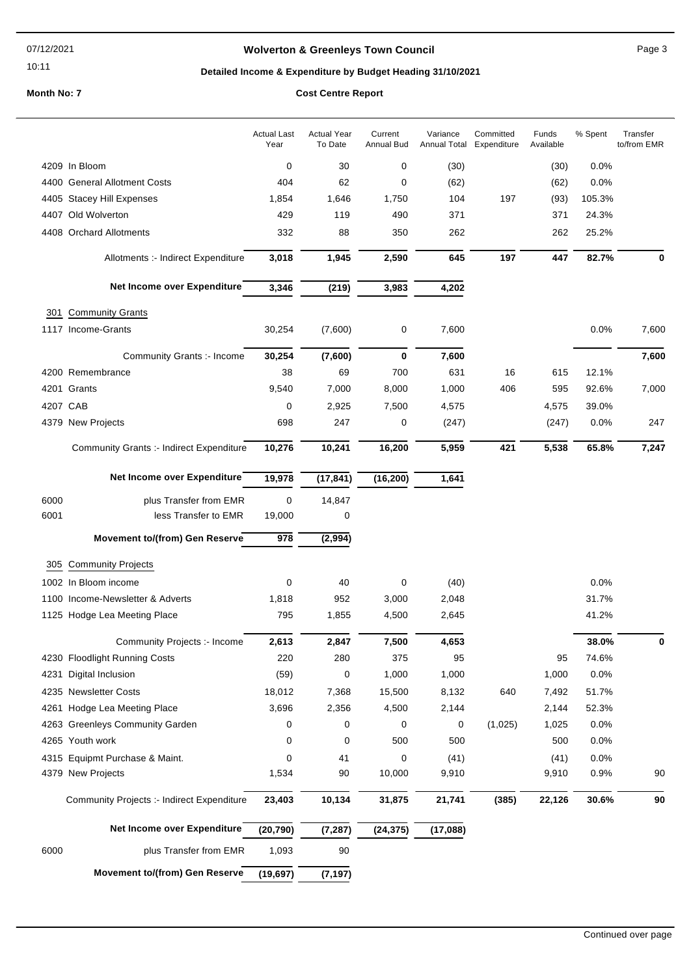### 07/12/2021

## 10:11

## **Wolverton & Greenleys Town Council** Manual Page 3

## **Detailed Income & Expenditure by Budget Heading 31/10/2021**

| 4209 In Bloom<br>0<br>30<br>$\mathbf 0$<br>(30)<br>0.0%<br>(30)<br>4400 General Allotment Costs<br>404<br>62<br>0<br>(62)<br>0.0%<br>(62)<br>197<br>105.3%<br>1,854<br>1,646<br>1,750<br>104<br>(93)<br>4405 Stacey Hill Expenses<br>4407 Old Wolverton<br>429<br>490<br>371<br>371<br>24.3%<br>119<br>4408 Orchard Allotments<br>332<br>88<br>350<br>262<br>25.2%<br>262<br>3,018<br>1,945<br>2,590<br>645<br>197<br>447<br>82.7%<br>Allotments :- Indirect Expenditure<br>0<br>Net Income over Expenditure<br>3,346<br>3,983<br>4,202<br>(219)<br><b>Community Grants</b><br>301<br>1117 Income-Grants<br>(7,600)<br>0.0%<br>30,254<br>0<br>7,600<br>30,254<br>$\bf{0}$<br>7,600<br>Community Grants :- Income<br>(7,600)<br>700<br>631<br>4200 Remembrance<br>38<br>69<br>16<br>615<br>12.1%<br>4201 Grants<br>9,540<br>7,000<br>8,000<br>1,000<br>406<br>595<br>92.6%<br>4207 CAB<br>2,925<br>7,500<br>4,575<br>4,575<br>39.0%<br>0<br>4379 New Projects<br>698<br>247<br>0<br>(247)<br>0.0%<br>247<br>(247)<br>10,241<br>5,959<br>421<br>5,538<br>65.8%<br><b>Community Grants :- Indirect Expenditure</b><br>10,276<br>16,200<br>Net Income over Expenditure<br>19,978<br>(17, 841)<br>(16, 200)<br>1,641<br>$\mathbf 0$<br>6000<br>plus Transfer from EMR<br>14,847<br>6001<br>less Transfer to EMR<br>0<br>19,000<br>978<br><b>Movement to/(from) Gen Reserve</b><br>(2,994)<br>305 Community Projects<br>1002 In Bloom income<br>0<br>40<br>0<br>(40)<br>0.0%<br>952<br>1100 Income-Newsletter & Adverts<br>1,818<br>3,000<br>2,048<br>31.7%<br>795<br>1,855<br>41.2%<br>1125 Hodge Lea Meeting Place<br>4,500<br>2,645<br>2,847<br>7,500<br>4,653<br>38.0%<br>Community Projects :- Income<br>2,613<br>0<br>4230 Floodlight Running Costs<br>220<br>280<br>375<br>95<br>95<br>74.6%<br>(59)<br>Digital Inclusion<br>0<br>1,000<br>1,000<br>1,000<br>0.0%<br>4231<br>4235 Newsletter Costs<br>18,012<br>7,368<br>15,500<br>8,132<br>640<br>7,492<br>51.7%<br>4261 Hodge Lea Meeting Place<br>3,696<br>2,356<br>4,500<br>2,144<br>2,144<br>52.3%<br>(1,025)<br>4263 Greenleys Community Garden<br>0<br>0<br>0<br>0<br>0.0%<br>1,025<br>4265 Youth work<br>0<br>500<br>500<br>500<br>0.0%<br>0<br>4315 Equipmt Purchase & Maint.<br>0<br>41<br>0<br>(41)<br>(41)<br>0.0%<br>1,534<br>90<br>10,000<br>9,910<br>9,910<br>0.9%<br>4379 New Projects<br>Community Projects :- Indirect Expenditure<br>23,403<br>10,134<br>31,875<br>21,741<br>(385)<br>22,126<br>30.6%<br>Net Income over Expenditure<br>(7, 287)<br>(20, 790)<br>(24, 375)<br>(17,088)<br>1,093<br>90<br>6000<br>plus Transfer from EMR<br><b>Movement to/(from) Gen Reserve</b><br>(19, 697)<br>(7, 197) |  | <b>Actual Last</b><br>Year | <b>Actual Year</b><br>To Date | Current<br><b>Annual Bud</b> | Variance<br><b>Annual Total</b> | Committed<br>Expenditure | Funds<br>Available | % Spent | Transfer<br>to/from EMR |
|-------------------------------------------------------------------------------------------------------------------------------------------------------------------------------------------------------------------------------------------------------------------------------------------------------------------------------------------------------------------------------------------------------------------------------------------------------------------------------------------------------------------------------------------------------------------------------------------------------------------------------------------------------------------------------------------------------------------------------------------------------------------------------------------------------------------------------------------------------------------------------------------------------------------------------------------------------------------------------------------------------------------------------------------------------------------------------------------------------------------------------------------------------------------------------------------------------------------------------------------------------------------------------------------------------------------------------------------------------------------------------------------------------------------------------------------------------------------------------------------------------------------------------------------------------------------------------------------------------------------------------------------------------------------------------------------------------------------------------------------------------------------------------------------------------------------------------------------------------------------------------------------------------------------------------------------------------------------------------------------------------------------------------------------------------------------------------------------------------------------------------------------------------------------------------------------------------------------------------------------------------------------------------------------------------------------------------------------------------------------------------------------------------------------------------------------------------------------------------------------------------------------------------------------------------------------------------------------------------------------------------------------------------------------------------|--|----------------------------|-------------------------------|------------------------------|---------------------------------|--------------------------|--------------------|---------|-------------------------|
|                                                                                                                                                                                                                                                                                                                                                                                                                                                                                                                                                                                                                                                                                                                                                                                                                                                                                                                                                                                                                                                                                                                                                                                                                                                                                                                                                                                                                                                                                                                                                                                                                                                                                                                                                                                                                                                                                                                                                                                                                                                                                                                                                                                                                                                                                                                                                                                                                                                                                                                                                                                                                                                                               |  |                            |                               |                              |                                 |                          |                    |         |                         |
|                                                                                                                                                                                                                                                                                                                                                                                                                                                                                                                                                                                                                                                                                                                                                                                                                                                                                                                                                                                                                                                                                                                                                                                                                                                                                                                                                                                                                                                                                                                                                                                                                                                                                                                                                                                                                                                                                                                                                                                                                                                                                                                                                                                                                                                                                                                                                                                                                                                                                                                                                                                                                                                                               |  |                            |                               |                              |                                 |                          |                    |         |                         |
|                                                                                                                                                                                                                                                                                                                                                                                                                                                                                                                                                                                                                                                                                                                                                                                                                                                                                                                                                                                                                                                                                                                                                                                                                                                                                                                                                                                                                                                                                                                                                                                                                                                                                                                                                                                                                                                                                                                                                                                                                                                                                                                                                                                                                                                                                                                                                                                                                                                                                                                                                                                                                                                                               |  |                            |                               |                              |                                 |                          |                    |         |                         |
|                                                                                                                                                                                                                                                                                                                                                                                                                                                                                                                                                                                                                                                                                                                                                                                                                                                                                                                                                                                                                                                                                                                                                                                                                                                                                                                                                                                                                                                                                                                                                                                                                                                                                                                                                                                                                                                                                                                                                                                                                                                                                                                                                                                                                                                                                                                                                                                                                                                                                                                                                                                                                                                                               |  |                            |                               |                              |                                 |                          |                    |         |                         |
|                                                                                                                                                                                                                                                                                                                                                                                                                                                                                                                                                                                                                                                                                                                                                                                                                                                                                                                                                                                                                                                                                                                                                                                                                                                                                                                                                                                                                                                                                                                                                                                                                                                                                                                                                                                                                                                                                                                                                                                                                                                                                                                                                                                                                                                                                                                                                                                                                                                                                                                                                                                                                                                                               |  |                            |                               |                              |                                 |                          |                    |         |                         |
|                                                                                                                                                                                                                                                                                                                                                                                                                                                                                                                                                                                                                                                                                                                                                                                                                                                                                                                                                                                                                                                                                                                                                                                                                                                                                                                                                                                                                                                                                                                                                                                                                                                                                                                                                                                                                                                                                                                                                                                                                                                                                                                                                                                                                                                                                                                                                                                                                                                                                                                                                                                                                                                                               |  |                            |                               |                              |                                 |                          |                    |         |                         |
|                                                                                                                                                                                                                                                                                                                                                                                                                                                                                                                                                                                                                                                                                                                                                                                                                                                                                                                                                                                                                                                                                                                                                                                                                                                                                                                                                                                                                                                                                                                                                                                                                                                                                                                                                                                                                                                                                                                                                                                                                                                                                                                                                                                                                                                                                                                                                                                                                                                                                                                                                                                                                                                                               |  |                            |                               |                              |                                 |                          |                    |         |                         |
|                                                                                                                                                                                                                                                                                                                                                                                                                                                                                                                                                                                                                                                                                                                                                                                                                                                                                                                                                                                                                                                                                                                                                                                                                                                                                                                                                                                                                                                                                                                                                                                                                                                                                                                                                                                                                                                                                                                                                                                                                                                                                                                                                                                                                                                                                                                                                                                                                                                                                                                                                                                                                                                                               |  |                            |                               |                              |                                 |                          |                    |         |                         |
|                                                                                                                                                                                                                                                                                                                                                                                                                                                                                                                                                                                                                                                                                                                                                                                                                                                                                                                                                                                                                                                                                                                                                                                                                                                                                                                                                                                                                                                                                                                                                                                                                                                                                                                                                                                                                                                                                                                                                                                                                                                                                                                                                                                                                                                                                                                                                                                                                                                                                                                                                                                                                                                                               |  |                            |                               |                              |                                 |                          |                    |         | 7,600                   |
|                                                                                                                                                                                                                                                                                                                                                                                                                                                                                                                                                                                                                                                                                                                                                                                                                                                                                                                                                                                                                                                                                                                                                                                                                                                                                                                                                                                                                                                                                                                                                                                                                                                                                                                                                                                                                                                                                                                                                                                                                                                                                                                                                                                                                                                                                                                                                                                                                                                                                                                                                                                                                                                                               |  |                            |                               |                              |                                 |                          |                    |         | 7,600                   |
|                                                                                                                                                                                                                                                                                                                                                                                                                                                                                                                                                                                                                                                                                                                                                                                                                                                                                                                                                                                                                                                                                                                                                                                                                                                                                                                                                                                                                                                                                                                                                                                                                                                                                                                                                                                                                                                                                                                                                                                                                                                                                                                                                                                                                                                                                                                                                                                                                                                                                                                                                                                                                                                                               |  |                            |                               |                              |                                 |                          |                    |         |                         |
|                                                                                                                                                                                                                                                                                                                                                                                                                                                                                                                                                                                                                                                                                                                                                                                                                                                                                                                                                                                                                                                                                                                                                                                                                                                                                                                                                                                                                                                                                                                                                                                                                                                                                                                                                                                                                                                                                                                                                                                                                                                                                                                                                                                                                                                                                                                                                                                                                                                                                                                                                                                                                                                                               |  |                            |                               |                              |                                 |                          |                    |         | 7,000                   |
|                                                                                                                                                                                                                                                                                                                                                                                                                                                                                                                                                                                                                                                                                                                                                                                                                                                                                                                                                                                                                                                                                                                                                                                                                                                                                                                                                                                                                                                                                                                                                                                                                                                                                                                                                                                                                                                                                                                                                                                                                                                                                                                                                                                                                                                                                                                                                                                                                                                                                                                                                                                                                                                                               |  |                            |                               |                              |                                 |                          |                    |         |                         |
|                                                                                                                                                                                                                                                                                                                                                                                                                                                                                                                                                                                                                                                                                                                                                                                                                                                                                                                                                                                                                                                                                                                                                                                                                                                                                                                                                                                                                                                                                                                                                                                                                                                                                                                                                                                                                                                                                                                                                                                                                                                                                                                                                                                                                                                                                                                                                                                                                                                                                                                                                                                                                                                                               |  |                            |                               |                              |                                 |                          |                    |         |                         |
|                                                                                                                                                                                                                                                                                                                                                                                                                                                                                                                                                                                                                                                                                                                                                                                                                                                                                                                                                                                                                                                                                                                                                                                                                                                                                                                                                                                                                                                                                                                                                                                                                                                                                                                                                                                                                                                                                                                                                                                                                                                                                                                                                                                                                                                                                                                                                                                                                                                                                                                                                                                                                                                                               |  |                            |                               |                              |                                 |                          |                    |         | 7,247                   |
|                                                                                                                                                                                                                                                                                                                                                                                                                                                                                                                                                                                                                                                                                                                                                                                                                                                                                                                                                                                                                                                                                                                                                                                                                                                                                                                                                                                                                                                                                                                                                                                                                                                                                                                                                                                                                                                                                                                                                                                                                                                                                                                                                                                                                                                                                                                                                                                                                                                                                                                                                                                                                                                                               |  |                            |                               |                              |                                 |                          |                    |         |                         |
|                                                                                                                                                                                                                                                                                                                                                                                                                                                                                                                                                                                                                                                                                                                                                                                                                                                                                                                                                                                                                                                                                                                                                                                                                                                                                                                                                                                                                                                                                                                                                                                                                                                                                                                                                                                                                                                                                                                                                                                                                                                                                                                                                                                                                                                                                                                                                                                                                                                                                                                                                                                                                                                                               |  |                            |                               |                              |                                 |                          |                    |         |                         |
|                                                                                                                                                                                                                                                                                                                                                                                                                                                                                                                                                                                                                                                                                                                                                                                                                                                                                                                                                                                                                                                                                                                                                                                                                                                                                                                                                                                                                                                                                                                                                                                                                                                                                                                                                                                                                                                                                                                                                                                                                                                                                                                                                                                                                                                                                                                                                                                                                                                                                                                                                                                                                                                                               |  |                            |                               |                              |                                 |                          |                    |         |                         |
|                                                                                                                                                                                                                                                                                                                                                                                                                                                                                                                                                                                                                                                                                                                                                                                                                                                                                                                                                                                                                                                                                                                                                                                                                                                                                                                                                                                                                                                                                                                                                                                                                                                                                                                                                                                                                                                                                                                                                                                                                                                                                                                                                                                                                                                                                                                                                                                                                                                                                                                                                                                                                                                                               |  |                            |                               |                              |                                 |                          |                    |         |                         |
|                                                                                                                                                                                                                                                                                                                                                                                                                                                                                                                                                                                                                                                                                                                                                                                                                                                                                                                                                                                                                                                                                                                                                                                                                                                                                                                                                                                                                                                                                                                                                                                                                                                                                                                                                                                                                                                                                                                                                                                                                                                                                                                                                                                                                                                                                                                                                                                                                                                                                                                                                                                                                                                                               |  |                            |                               |                              |                                 |                          |                    |         |                         |
|                                                                                                                                                                                                                                                                                                                                                                                                                                                                                                                                                                                                                                                                                                                                                                                                                                                                                                                                                                                                                                                                                                                                                                                                                                                                                                                                                                                                                                                                                                                                                                                                                                                                                                                                                                                                                                                                                                                                                                                                                                                                                                                                                                                                                                                                                                                                                                                                                                                                                                                                                                                                                                                                               |  |                            |                               |                              |                                 |                          |                    |         |                         |
|                                                                                                                                                                                                                                                                                                                                                                                                                                                                                                                                                                                                                                                                                                                                                                                                                                                                                                                                                                                                                                                                                                                                                                                                                                                                                                                                                                                                                                                                                                                                                                                                                                                                                                                                                                                                                                                                                                                                                                                                                                                                                                                                                                                                                                                                                                                                                                                                                                                                                                                                                                                                                                                                               |  |                            |                               |                              |                                 |                          |                    |         |                         |
|                                                                                                                                                                                                                                                                                                                                                                                                                                                                                                                                                                                                                                                                                                                                                                                                                                                                                                                                                                                                                                                                                                                                                                                                                                                                                                                                                                                                                                                                                                                                                                                                                                                                                                                                                                                                                                                                                                                                                                                                                                                                                                                                                                                                                                                                                                                                                                                                                                                                                                                                                                                                                                                                               |  |                            |                               |                              |                                 |                          |                    |         |                         |
|                                                                                                                                                                                                                                                                                                                                                                                                                                                                                                                                                                                                                                                                                                                                                                                                                                                                                                                                                                                                                                                                                                                                                                                                                                                                                                                                                                                                                                                                                                                                                                                                                                                                                                                                                                                                                                                                                                                                                                                                                                                                                                                                                                                                                                                                                                                                                                                                                                                                                                                                                                                                                                                                               |  |                            |                               |                              |                                 |                          |                    |         |                         |
|                                                                                                                                                                                                                                                                                                                                                                                                                                                                                                                                                                                                                                                                                                                                                                                                                                                                                                                                                                                                                                                                                                                                                                                                                                                                                                                                                                                                                                                                                                                                                                                                                                                                                                                                                                                                                                                                                                                                                                                                                                                                                                                                                                                                                                                                                                                                                                                                                                                                                                                                                                                                                                                                               |  |                            |                               |                              |                                 |                          |                    |         |                         |
|                                                                                                                                                                                                                                                                                                                                                                                                                                                                                                                                                                                                                                                                                                                                                                                                                                                                                                                                                                                                                                                                                                                                                                                                                                                                                                                                                                                                                                                                                                                                                                                                                                                                                                                                                                                                                                                                                                                                                                                                                                                                                                                                                                                                                                                                                                                                                                                                                                                                                                                                                                                                                                                                               |  |                            |                               |                              |                                 |                          |                    |         |                         |
|                                                                                                                                                                                                                                                                                                                                                                                                                                                                                                                                                                                                                                                                                                                                                                                                                                                                                                                                                                                                                                                                                                                                                                                                                                                                                                                                                                                                                                                                                                                                                                                                                                                                                                                                                                                                                                                                                                                                                                                                                                                                                                                                                                                                                                                                                                                                                                                                                                                                                                                                                                                                                                                                               |  |                            |                               |                              |                                 |                          |                    |         |                         |
|                                                                                                                                                                                                                                                                                                                                                                                                                                                                                                                                                                                                                                                                                                                                                                                                                                                                                                                                                                                                                                                                                                                                                                                                                                                                                                                                                                                                                                                                                                                                                                                                                                                                                                                                                                                                                                                                                                                                                                                                                                                                                                                                                                                                                                                                                                                                                                                                                                                                                                                                                                                                                                                                               |  |                            |                               |                              |                                 |                          |                    |         |                         |
|                                                                                                                                                                                                                                                                                                                                                                                                                                                                                                                                                                                                                                                                                                                                                                                                                                                                                                                                                                                                                                                                                                                                                                                                                                                                                                                                                                                                                                                                                                                                                                                                                                                                                                                                                                                                                                                                                                                                                                                                                                                                                                                                                                                                                                                                                                                                                                                                                                                                                                                                                                                                                                                                               |  |                            |                               |                              |                                 |                          |                    |         |                         |
|                                                                                                                                                                                                                                                                                                                                                                                                                                                                                                                                                                                                                                                                                                                                                                                                                                                                                                                                                                                                                                                                                                                                                                                                                                                                                                                                                                                                                                                                                                                                                                                                                                                                                                                                                                                                                                                                                                                                                                                                                                                                                                                                                                                                                                                                                                                                                                                                                                                                                                                                                                                                                                                                               |  |                            |                               |                              |                                 |                          |                    |         |                         |
|                                                                                                                                                                                                                                                                                                                                                                                                                                                                                                                                                                                                                                                                                                                                                                                                                                                                                                                                                                                                                                                                                                                                                                                                                                                                                                                                                                                                                                                                                                                                                                                                                                                                                                                                                                                                                                                                                                                                                                                                                                                                                                                                                                                                                                                                                                                                                                                                                                                                                                                                                                                                                                                                               |  |                            |                               |                              |                                 |                          |                    |         |                         |
|                                                                                                                                                                                                                                                                                                                                                                                                                                                                                                                                                                                                                                                                                                                                                                                                                                                                                                                                                                                                                                                                                                                                                                                                                                                                                                                                                                                                                                                                                                                                                                                                                                                                                                                                                                                                                                                                                                                                                                                                                                                                                                                                                                                                                                                                                                                                                                                                                                                                                                                                                                                                                                                                               |  |                            |                               |                              |                                 |                          |                    |         | 90                      |
|                                                                                                                                                                                                                                                                                                                                                                                                                                                                                                                                                                                                                                                                                                                                                                                                                                                                                                                                                                                                                                                                                                                                                                                                                                                                                                                                                                                                                                                                                                                                                                                                                                                                                                                                                                                                                                                                                                                                                                                                                                                                                                                                                                                                                                                                                                                                                                                                                                                                                                                                                                                                                                                                               |  |                            |                               |                              |                                 |                          |                    |         | 90                      |
|                                                                                                                                                                                                                                                                                                                                                                                                                                                                                                                                                                                                                                                                                                                                                                                                                                                                                                                                                                                                                                                                                                                                                                                                                                                                                                                                                                                                                                                                                                                                                                                                                                                                                                                                                                                                                                                                                                                                                                                                                                                                                                                                                                                                                                                                                                                                                                                                                                                                                                                                                                                                                                                                               |  |                            |                               |                              |                                 |                          |                    |         |                         |
|                                                                                                                                                                                                                                                                                                                                                                                                                                                                                                                                                                                                                                                                                                                                                                                                                                                                                                                                                                                                                                                                                                                                                                                                                                                                                                                                                                                                                                                                                                                                                                                                                                                                                                                                                                                                                                                                                                                                                                                                                                                                                                                                                                                                                                                                                                                                                                                                                                                                                                                                                                                                                                                                               |  |                            |                               |                              |                                 |                          |                    |         |                         |
|                                                                                                                                                                                                                                                                                                                                                                                                                                                                                                                                                                                                                                                                                                                                                                                                                                                                                                                                                                                                                                                                                                                                                                                                                                                                                                                                                                                                                                                                                                                                                                                                                                                                                                                                                                                                                                                                                                                                                                                                                                                                                                                                                                                                                                                                                                                                                                                                                                                                                                                                                                                                                                                                               |  |                            |                               |                              |                                 |                          |                    |         |                         |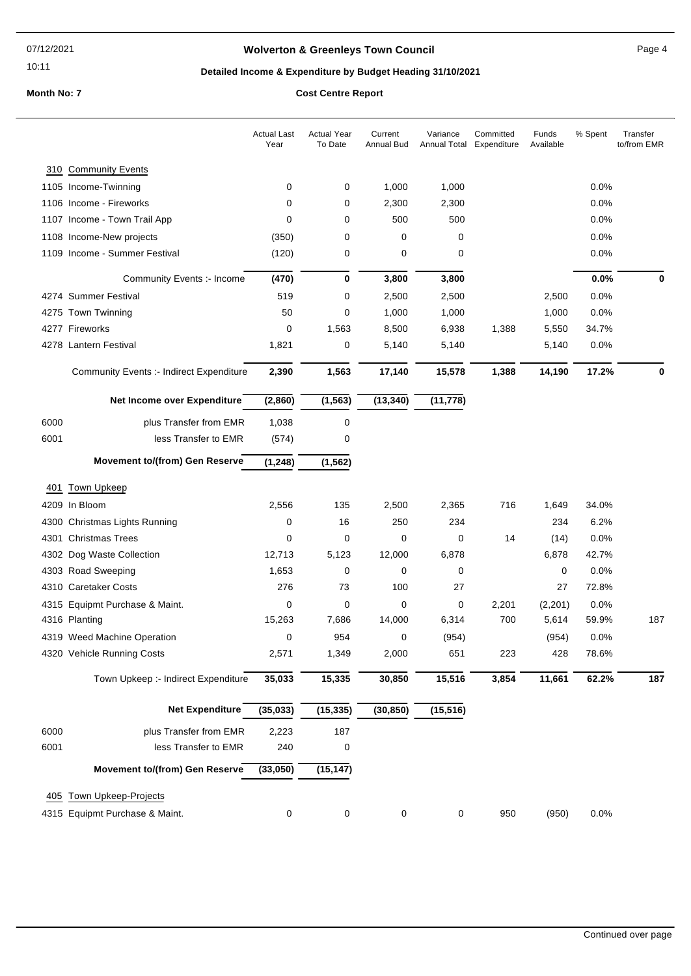10:11

## **Wolverton & Greenleys Town Council Contract Contract Contract Page 4**

## **Detailed Income & Expenditure by Budget Heading 31/10/2021**

**Month No: 7** 

| <b>Cost Centre Report</b> |  |
|---------------------------|--|
|---------------------------|--|

|      |                                                 | <b>Actual Last</b><br>Year | <b>Actual Year</b><br>To Date | Current<br><b>Annual Bud</b> | Variance<br>Annual Total | Committed<br>Expenditure | Funds<br>Available | % Spent | Transfer<br>to/from EMR |
|------|-------------------------------------------------|----------------------------|-------------------------------|------------------------------|--------------------------|--------------------------|--------------------|---------|-------------------------|
|      | 310 Community Events                            |                            |                               |                              |                          |                          |                    |         |                         |
|      | 1105 Income-Twinning                            | 0                          | 0                             | 1,000                        | 1,000                    |                          |                    | 0.0%    |                         |
|      | 1106 Income - Fireworks                         | 0                          | 0                             | 2,300                        | 2,300                    |                          |                    | 0.0%    |                         |
|      | 1107 Income - Town Trail App                    | 0                          | 0                             | 500                          | 500                      |                          |                    | 0.0%    |                         |
|      | 1108 Income-New projects                        | (350)                      | 0                             | $\mathbf 0$                  | 0                        |                          |                    | 0.0%    |                         |
|      | 1109 Income - Summer Festival                   | (120)                      | 0                             | 0                            | 0                        |                          |                    | 0.0%    |                         |
|      | Community Events :- Income                      | (470)                      | 0                             | 3,800                        | 3,800                    |                          |                    | 0.0%    | 0                       |
|      | 4274 Summer Festival                            | 519                        | 0                             | 2,500                        | 2,500                    |                          | 2,500              | 0.0%    |                         |
|      | 4275 Town Twinning                              | 50                         | 0                             | 1,000                        | 1,000                    |                          | 1,000              | 0.0%    |                         |
|      | 4277 Fireworks                                  | 0                          | 1,563                         | 8,500                        | 6,938                    | 1,388                    | 5,550              | 34.7%   |                         |
|      | 4278 Lantern Festival                           | 1,821                      | 0                             | 5,140                        | 5,140                    |                          | 5,140              | 0.0%    |                         |
|      | <b>Community Events :- Indirect Expenditure</b> | 2,390                      | 1,563                         | 17,140                       | 15,578                   | 1,388                    | 14,190             | 17.2%   | 0                       |
|      | Net Income over Expenditure                     | (2,860)                    | (1, 563)                      | (13, 340)                    | (11, 778)                |                          |                    |         |                         |
|      |                                                 |                            |                               |                              |                          |                          |                    |         |                         |
| 6000 | plus Transfer from EMR                          | 1,038                      | 0                             |                              |                          |                          |                    |         |                         |
| 6001 | less Transfer to EMR                            | (574)                      | 0                             |                              |                          |                          |                    |         |                         |
|      | <b>Movement to/(from) Gen Reserve</b>           | (1, 248)                   | (1, 562)                      |                              |                          |                          |                    |         |                         |
| 401  | <b>Town Upkeep</b>                              |                            |                               |                              |                          |                          |                    |         |                         |
|      | 4209 In Bloom                                   | 2,556                      | 135                           | 2,500                        | 2,365                    | 716                      | 1,649              | 34.0%   |                         |
|      | 4300 Christmas Lights Running                   | 0                          | 16                            | 250                          | 234                      |                          | 234                | 6.2%    |                         |
|      | 4301 Christmas Trees                            | 0                          | 0                             | 0                            | 0                        | 14                       | (14)               | 0.0%    |                         |
|      | 4302 Dog Waste Collection                       | 12,713                     | 5,123                         | 12,000                       | 6,878                    |                          | 6,878              | 42.7%   |                         |
|      | 4303 Road Sweeping                              | 1,653                      | 0                             | 0                            | 0                        |                          | 0                  | 0.0%    |                         |
|      | 4310 Caretaker Costs                            | 276                        | 73                            | 100                          | 27                       |                          | 27                 | 72.8%   |                         |
|      | 4315 Equipmt Purchase & Maint.                  | $\mathbf 0$                | $\mathbf 0$                   | $\mathbf 0$                  | 0                        | 2,201                    | (2,201)            | 0.0%    |                         |
|      | 4316 Planting                                   | 15,263                     | 7,686                         | 14,000                       | 6,314                    | 700                      | 5,614              | 59.9%   | 187                     |
|      | 4319 Weed Machine Operation                     | 0                          | 954                           | 0                            | (954)                    |                          | (954)              | 0.0%    |                         |
|      | 4320 Vehicle Running Costs                      | 2,571                      | 1,349                         | 2,000                        | 651                      | 223                      | 428                | 78.6%   |                         |
|      | Town Upkeep :- Indirect Expenditure             | 35,033                     | 15,335                        | 30,850                       | 15,516                   | 3,854                    | 11,661             | 62.2%   | 187                     |
|      | <b>Net Expenditure</b>                          | (35, 033)                  | (15, 335)                     | (30, 850)                    | (15, 516)                |                          |                    |         |                         |
| 6000 | plus Transfer from EMR                          | 2,223                      | 187                           |                              |                          |                          |                    |         |                         |
| 6001 | less Transfer to EMR                            | 240                        | 0                             |                              |                          |                          |                    |         |                         |
|      | <b>Movement to/(from) Gen Reserve</b>           | (33,050)                   | (15, 147)                     |                              |                          |                          |                    |         |                         |
| 405  | <b>Town Upkeep-Projects</b>                     |                            |                               |                              |                          |                          |                    |         |                         |
|      | 4315 Equipmt Purchase & Maint.                  | 0                          | 0                             | 0                            | 0                        | 950                      | (950)              | 0.0%    |                         |